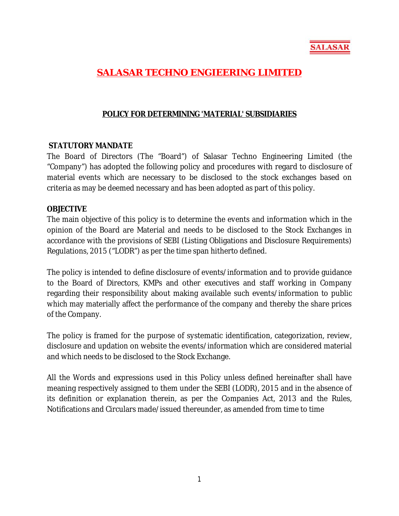

# **SALASAR TECHNO ENGIEERING LIMITED**

### **POLICY FOR DETERMINING 'MATERIAL' SUBSIDIARIES**

#### **STATUTORY MANDATE**

The Board of Directors (The "Board") of Salasar Techno Engineering Limited (the "Company") has adopted the following policy and procedures with regard to disclosure of material events which are necessary to be disclosed to the stock exchanges based on criteria as may be deemed necessary and has been adopted as part of this policy.

#### **OBJECTIVE**

The main objective of this policy is to determine the events and information which in the opinion of the Board are Material and needs to be disclosed to the Stock Exchanges in accordance with the provisions of SEBI (Listing Obligations and Disclosure Requirements) Regulations, 2015 ("LODR") as per the time span hitherto defined.

The policy is intended to define disclosure of events/information and to provide guidance to the Board of Directors, KMPs and other executives and staff working in Company regarding their responsibility about making available such events/information to public which may materially affect the performance of the company and thereby the share prices of the Company.

The policy is framed for the purpose of systematic identification, categorization, review, disclosure and updation on website the events/information which are considered material and which needs to be disclosed to the Stock Exchange.

All the Words and expressions used in this Policy unless defined hereinafter shall have meaning respectively assigned to them under the SEBI (LODR), 2015 and in the absence of its definition or explanation therein, as per the Companies Act, 2013 and the Rules, Notifications and Circulars made/issued thereunder, as amended from time to time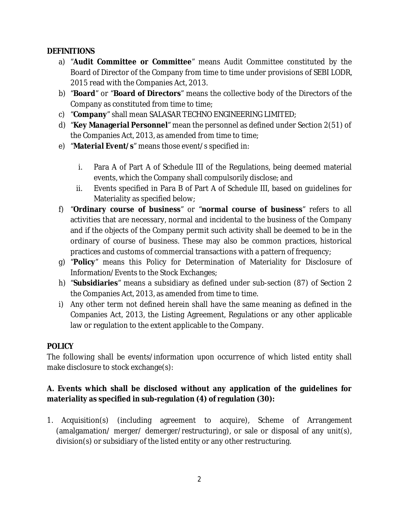### **DEFINITIONS**

- a) "**Audit Committee or Committee**" means Audit Committee constituted by the Board of Director of the Company from time to time under provisions of SEBI LODR, 2015 read with the Companies Act, 2013.
- b) "**Board**" or "**Board of Directors**" means the collective body of the Directors of the Company as constituted from time to time;
- c) "**Company**" shall mean SALASAR TECHNO ENGINEERING LIMITED;
- d) "**Key Managerial Personnel**" mean the personnel as defined under Section 2(51) of the Companies Act, 2013, as amended from time to time;
- e) "**Material Event/s**" means those event/s specified in:
	- i. Para A of Part A of Schedule III of the Regulations, being deemed material events, which the Company shall compulsorily disclose; and
	- ii. Events specified in Para B of Part A of Schedule III, based on guidelines for Materiality as specified below;
- f) "**Ordinary course of business**" or "**normal course of business**" refers to all activities that are necessary, normal and incidental to the business of the Company and if the objects of the Company permit such activity shall be deemed to be in the ordinary of course of business. These may also be common practices, historical practices and customs of commercial transactions with a pattern of frequency;
- g) "**Policy**" means this Policy for Determination of Materiality for Disclosure of Information/Events to the Stock Exchanges;
- h) "**Subsidiaries**" means a subsidiary as defined under sub-section (87) of Section 2 the Companies Act, 2013, as amended from time to time.
- i) Any other term not defined herein shall have the same meaning as defined in the Companies Act, 2013, the Listing Agreement, Regulations or any other applicable law or regulation to the extent applicable to the Company.

### **POLICY**

The following shall be events/information upon occurrence of which listed entity shall make disclosure to stock exchange(s):

## **A. Events which shall be disclosed without any application of the guidelines for materiality as specified in sub-regulation (4) of regulation (30):**

1. Acquisition(s) (including agreement to acquire), Scheme of Arrangement (amalgamation/ merger/ demerger/restructuring), or sale or disposal of any unit(s), division(s) or subsidiary of the listed entity or any other restructuring.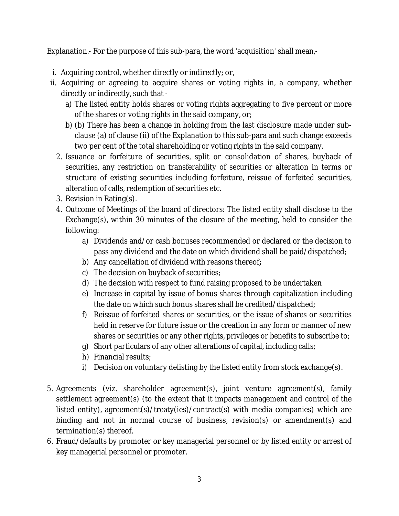Explanation.- For the purpose of this sub-para, the word 'acquisition' shall mean,-

- i. Acquiring control, whether directly or indirectly; or,
- ii. Acquiring or agreeing to acquire shares or voting rights in, a company, whether directly or indirectly, such that
	- a) The listed entity holds shares or voting rights aggregating to five percent or more of the shares or voting rights in the said company, or;
	- b) (b) There has been a change in holding from the last disclosure made under subclause (a) of clause (ii) of the Explanation to this sub-para and such change exceeds two per cent of the total shareholding or voting rights in the said company.
	- 2. Issuance or forfeiture of securities, split or consolidation of shares, buyback of securities, any restriction on transferability of securities or alteration in terms or structure of existing securities including forfeiture, reissue of forfeited securities, alteration of calls, redemption of securities etc.
	- 3. Revision in Rating(s).
	- 4. Outcome of Meetings of the board of directors: The listed entity shall disclose to the Exchange(s), within 30 minutes of the closure of the meeting, held to consider the following:
		- a) Dividends and/or cash bonuses recommended or declared or the decision to pass any dividend and the date on which dividend shall be paid/dispatched;
		- b) Any cancellation of dividend with reasons thereof**;**
		- c) The decision on buyback of securities;
		- d) The decision with respect to fund raising proposed to be undertaken
		- e) Increase in capital by issue of bonus shares through capitalization including the date on which such bonus shares shall be credited/dispatched;
		- f) Reissue of forfeited shares or securities, or the issue of shares or securities held in reserve for future issue or the creation in any form or manner of new shares or securities or any other rights, privileges or benefits to subscribe to;
		- g) Short particulars of any other alterations of capital, including calls;
		- h) Financial results;
		- i) Decision on voluntary delisting by the listed entity from stock exchange(s).
- 5. Agreements (viz. shareholder agreement(s), joint venture agreement(s), family settlement agreement(s) (to the extent that it impacts management and control of the listed entity), agreement(s)/treaty(ies)/contract(s) with media companies) which are binding and not in normal course of business, revision(s) or amendment(s) and termination(s) thereof.
- 6. Fraud/defaults by promoter or key managerial personnel or by listed entity or arrest of key managerial personnel or promoter.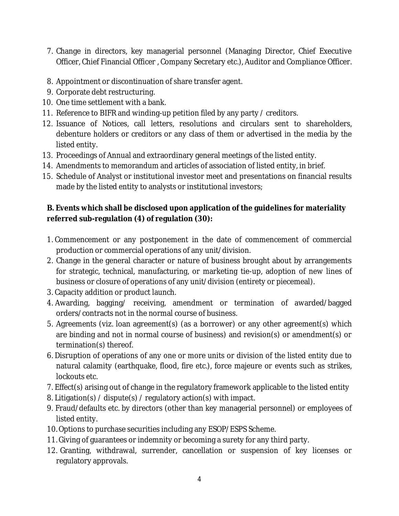- 7. Change in directors, key managerial personnel (Managing Director, Chief Executive Officer, Chief Financial Officer , Company Secretary etc.), Auditor and Compliance Officer.
- 8. Appointment or discontinuation of share transfer agent.
- 9. Corporate debt restructuring.
- 10. One time settlement with a bank.
- 11. Reference to BIFR and winding-up petition filed by any party / creditors.
- 12. Issuance of Notices, call letters, resolutions and circulars sent to shareholders, debenture holders or creditors or any class of them or advertised in the media by the listed entity.
- 13. Proceedings of Annual and extraordinary general meetings of the listed entity.
- 14. Amendments to memorandum and articles of association of listed entity, in brief.
- 15. Schedule of Analyst or institutional investor meet and presentations on financial results made by the listed entity to analysts or institutional investors;

## **B. Events which shall be disclosed upon application of the guidelines for materiality referred sub-regulation (4) of regulation (30):**

- 1. Commencement or any postponement in the date of commencement of commercial production or commercial operations of any unit/division.
- 2. Change in the general character or nature of business brought about by arrangements for strategic, technical, manufacturing, or marketing tie-up, adoption of new lines of business or closure of operations of any unit/division (entirety or piecemeal).
- 3. Capacity addition or product launch.
- 4. Awarding, bagging/ receiving, amendment or termination of awarded/bagged orders/contracts not in the normal course of business.
- 5. Agreements (viz. loan agreement(s) (as a borrower) or any other agreement(s) which are binding and not in normal course of business) and revision(s) or amendment(s) or termination(s) thereof.
- 6. Disruption of operations of any one or more units or division of the listed entity due to natural calamity (earthquake, flood, fire etc.), force majeure or events such as strikes, lockouts etc.
- 7. Effect(s) arising out of change in the regulatory framework applicable to the listed entity
- 8. Litigation(s) / dispute(s) / regulatory action(s) with impact.
- 9. Fraud/defaults etc. by directors (other than key managerial personnel) or employees of listed entity.
- 10. Options to purchase securities including any ESOP/ESPS Scheme.
- 11. Giving of guarantees or indemnity or becoming a surety for any third party.
- 12. Granting, withdrawal, surrender, cancellation or suspension of key licenses or regulatory approvals.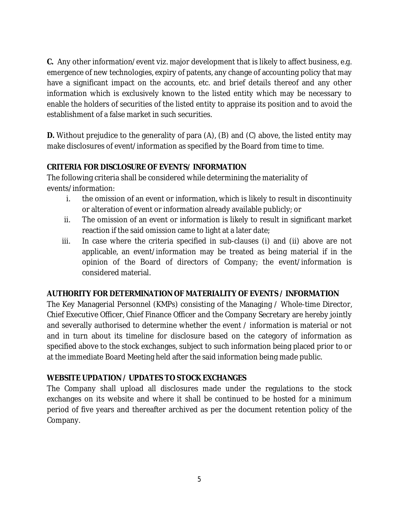**C.** Any other information/event viz. major development that is likely to affect business, e.g. emergence of new technologies, expiry of patents, any change of accounting policy that may have a significant impact on the accounts, etc. and brief details thereof and any other information which is exclusively known to the listed entity which may be necessary to enable the holders of securities of the listed entity to appraise its position and to avoid the establishment of a false market in such securities.

**D.** Without prejudice to the generality of para (A), (B) and (C) above, the listed entity may make disclosures of event/information as specified by the Board from time to time.

## **CRITERIA FOR DISCLOSURE OF EVENTS/ INFORMATION**

The following criteria shall be considered while determining the materiality of events/information:

- i. the omission of an event or information, which is likely to result in discontinuity or alteration of event or information already available publicly; or
- ii. The omission of an event or information is likely to result in significant market reaction if the said omission came to light at a later date;
- iii. In case where the criteria specified in sub-clauses (i) and (ii) above are not applicable, an event/information may be treated as being material if in the opinion of the Board of directors of Company; the event/information is considered material.

## **AUTHORITY FOR DETERMINATION OF MATERIALITY OF EVENTS / INFORMATION**

The Key Managerial Personnel (KMPs) consisting of the Managing / Whole‐time Director, Chief Executive Officer, Chief Finance Officer and the Company Secretary are hereby jointly and severally authorised to determine whether the event / information is material or not and in turn about its timeline for disclosure based on the category of information as specified above to the stock exchanges, subject to such information being placed prior to or at the immediate Board Meeting held after the said information being made public.

## **WEBSITE UPDATION / UPDATES TO STOCK EXCHANGES**

The Company shall upload all disclosures made under the regulations to the stock exchanges on its website and where it shall be continued to be hosted for a minimum period of five years and thereafter archived as per the document retention policy of the Company.